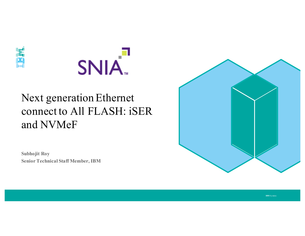



# Next generation Ethernet connect to All FLASH: iSER and NVMeF

**Subhojit Roy Senior Technical Staff Member, IBM**

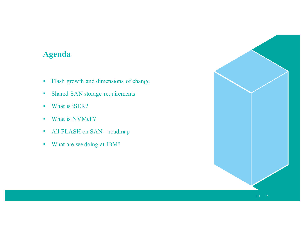## **Agenda**

- § Flash growth and dimensions of change
- Shared SAN storage requirements
- What is iSER?
- What is NVMeF?
- § All FLASH on SAN roadmap
- § What are we doing at IBM?

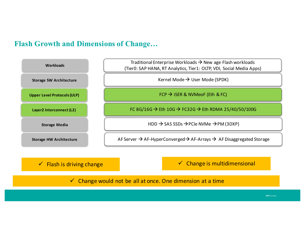### **Flash Growth and Dimensions of Change…**



#### $\checkmark$  Flash is driving change Equation 2011 **Example 2018** The Change is multidimensional

#### $\checkmark$  Change would not be all at once. One dimension at a time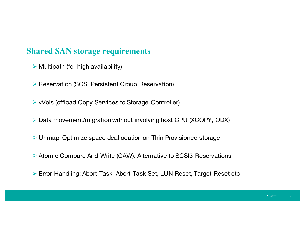## **Shared SAN storage requirements**

- $\triangleright$  Multipath (for high availability)
- Ø Reservation (SCSI Persistent Group Reservation)
- Ø vVols (offload Copy Services to Storage Controller)
- Ø Data movement/migration without involving host CPU (XCOPY, ODX)
- Ø Unmap: Optimize space deallocation on Thin Provisioned storage
- Ø Atomic Compare And Write (CAW): Alternative to SCSI3 Reservations
- Ø Error Handling: Abort Task, Abort Task Set, LUN Reset, Target Reset etc.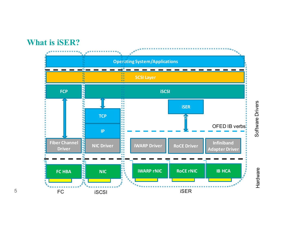## **What is iSER?**

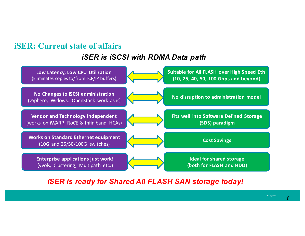## **iSER: Current state of affairs**

### *iSER is iSCSI with RDMA Data path*



#### *iSER is ready for Shared All FLASH SAN storage today!*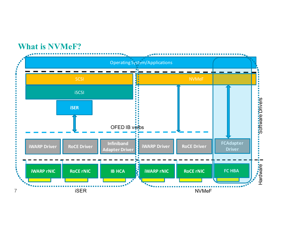## **What is NVMeF?**

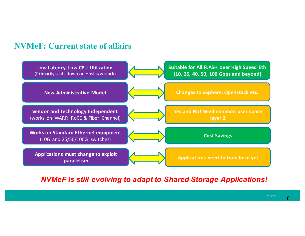## **NVMeF: Current state of affairs**



#### *NVMeF is still evolving to adapt to Shared Storage Applications!*

**IBM** Systems

8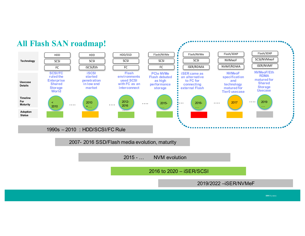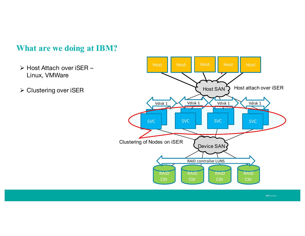## **What are we doing at IBM?**

- Ø Host Attach over iSER Linux, VMWare
- Ø Clustering over iSER

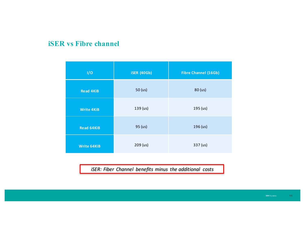### **iSER vs Fibre channel**

| 1/0                | <b>iSER (40Gb)</b> | <b>Fibre Channel (16Gb)</b> |
|--------------------|--------------------|-----------------------------|
| <b>Read 4KiB</b>   | 50 (us)            | 80 (us)                     |
| <b>Write 4KiB</b>  | 139 (us)           | 195 (us)                    |
| <b>Read 64KiB</b>  | 95 (us)            | 196 (us)                    |
| <b>Write 64KiB</b> | 209 (us)           | 337 (us)                    |

*iSER: Fiber Channel benefits minus the additional costs*